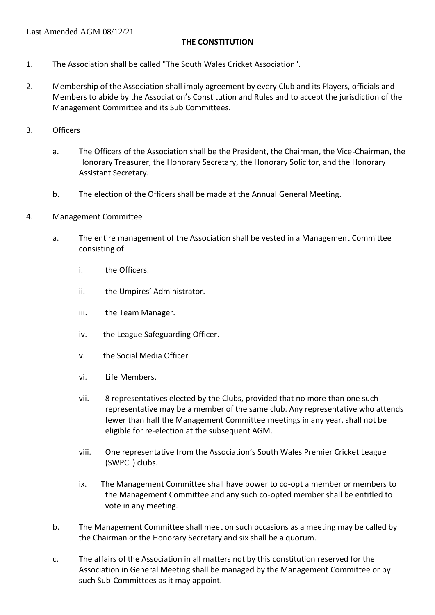### **THE CONSTITUTION**

- 1. The Association shall be called "The South Wales Cricket Association".
- 2. Membership of the Association shall imply agreement by every Club and its Players, officials and Members to abide by the Association's Constitution and Rules and to accept the jurisdiction of the Management Committee and its Sub Committees.
- 3. Officers
	- a. The Officers of the Association shall be the President, the Chairman, the Vice-Chairman, the Honorary Treasurer, the Honorary Secretary, the Honorary Solicitor, and the Honorary Assistant Secretary.
	- b. The election of the Officers shall be made at the Annual General Meeting.
- 4. Management Committee
	- a. The entire management of the Association shall be vested in a Management Committee consisting of
		- i. the Officers.
		- ii. the Umpires' Administrator.
		- iii. the Team Manager.
		- iv. the League Safeguarding Officer.
		- v. the Social Media Officer
		- vi. Life Members.
		- vii. 8 representatives elected by the Clubs, provided that no more than one such representative may be a member of the same club. Any representative who attends fewer than half the Management Committee meetings in any year, shall not be eligible for re-election at the subsequent AGM.
		- viii. One representative from the Association's South Wales Premier Cricket League (SWPCL) clubs.
		- ix. The Management Committee shall have power to co-opt a member or members to the Management Committee and any such co-opted member shall be entitled to vote in any meeting.
	- b. The Management Committee shall meet on such occasions as a meeting may be called by the Chairman or the Honorary Secretary and six shall be a quorum.
	- c. The affairs of the Association in all matters not by this constitution reserved for the Association in General Meeting shall be managed by the Management Committee or by such Sub-Committees as it may appoint.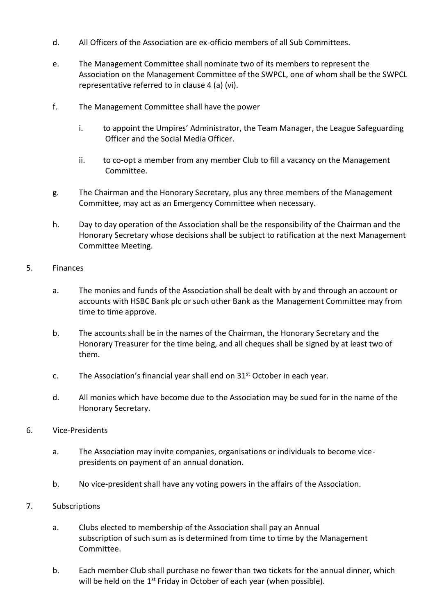- d. All Officers of the Association are ex-officio members of all Sub Committees.
- e. The Management Committee shall nominate two of its members to represent the Association on the Management Committee of the SWPCL, one of whom shall be the SWPCL representative referred to in clause 4 (a) (vi).
- f. The Management Committee shall have the power
	- i. to appoint the Umpires' Administrator, the Team Manager, the League Safeguarding Officer and the Social Media Officer.
	- ii. to co-opt a member from any member Club to fill a vacancy on the Management Committee.
- g. The Chairman and the Honorary Secretary, plus any three members of the Management Committee, may act as an Emergency Committee when necessary.
- h. Day to day operation of the Association shall be the responsibility of the Chairman and the Honorary Secretary whose decisions shall be subject to ratification at the next Management Committee Meeting.
- 5. Finances
	- a. The monies and funds of the Association shall be dealt with by and through an account or accounts with HSBC Bank plc or such other Bank as the Management Committee may from time to time approve.
	- b. The accounts shall be in the names of the Chairman, the Honorary Secretary and the Honorary Treasurer for the time being, and all cheques shall be signed by at least two of them.
	- c. The Association's financial year shall end on  $31<sup>st</sup>$  October in each year.
	- d. All monies which have become due to the Association may be sued for in the name of the Honorary Secretary.
- 6. Vice-Presidents
	- a. The Association may invite companies, organisations or individuals to become vicepresidents on payment of an annual donation.
	- b. No vice-president shall have any voting powers in the affairs of the Association.
- 7. Subscriptions
	- a. Clubs elected to membership of the Association shall pay an Annual subscription of such sum as is determined from time to time by the Management Committee.
	- b. Each member Club shall purchase no fewer than two tickets for the annual dinner, which will be held on the 1<sup>st</sup> Friday in October of each year (when possible).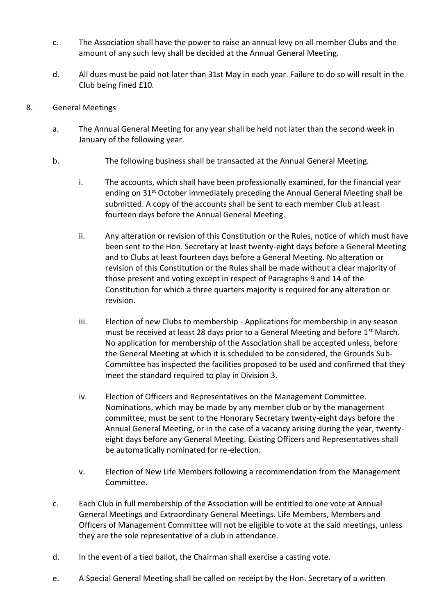- c. The Association shall have the power to raise an annual levy on all member Clubs and the amount of any such levy shall be decided at the Annual General Meeting.
- d. All dues must be paid not later than 31st May in each year. Failure to do so will result in the Club being fined £10.
- 8. General Meetings
	- a. The Annual General Meeting for any year shall be held not later than the second week in January of the following year.
	- b. The following business shall be transacted at the Annual General Meeting.
		- i. The accounts, which shall have been professionally examined, for the financial year ending on 31<sup>st</sup> October immediately preceding the Annual General Meeting shall be submitted. A copy of the accounts shall be sent to each member Club at least fourteen days before the Annual General Meeting.
		- ii. Any alteration or revision of this Constitution or the Rules, notice of which must have been sent to the Hon. Secretary at least twenty-eight days before a General Meeting and to Clubs at least fourteen days before a General Meeting. No alteration or revision of this Constitution or the Rules shall be made without a clear majority of those present and voting except in respect of Paragraphs 9 and 14 of the Constitution for which a three quarters majority is required for any alteration or revision.
		- iii. Election of new Clubs to membership Applications for membership in any season must be received at least 28 days prior to a General Meeting and before  $1<sup>st</sup>$  March. No application for membership of the Association shall be accepted unless, before the General Meeting at which it is scheduled to be considered, the Grounds Sub-Committee has inspected the facilities proposed to be used and confirmed that they meet the standard required to play in Division 3.
		- iv. Election of Officers and Representatives on the Management Committee. Nominations, which may be made by any member club or by the management committee, must be sent to the Honorary Secretary twenty-eight days before the Annual General Meeting, or in the case of a vacancy arising during the year, twentyeight days before any General Meeting. Existing Officers and Representatives shall be automatically nominated for re-election.
		- v. Election of New Life Members following a recommendation from the Management Committee.
	- c. Each Club in full membership of the Association will be entitled to one vote at Annual General Meetings and Extraordinary General Meetings. Life Members, Members and Officers of Management Committee will not be eligible to vote at the said meetings, unless they are the sole representative of a club in attendance.
	- d. In the event of a tied ballot, the Chairman shall exercise a casting vote.
	- e. A Special General Meeting shall be called on receipt by the Hon. Secretary of a written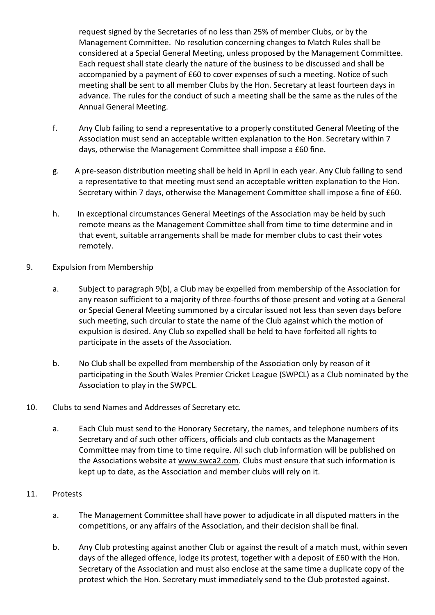request signed by the Secretaries of no less than 25% of member Clubs, or by the Management Committee. No resolution concerning changes to Match Rules shall be considered at a Special General Meeting, unless proposed by the Management Committee. Each request shall state clearly the nature of the business to be discussed and shall be accompanied by a payment of £60 to cover expenses of such a meeting. Notice of such meeting shall be sent to all member Clubs by the Hon. Secretary at least fourteen days in advance. The rules for the conduct of such a meeting shall be the same as the rules of the Annual General Meeting.

- f. Any Club failing to send a representative to a properly constituted General Meeting of the Association must send an acceptable written explanation to the Hon. Secretary within 7 days, otherwise the Management Committee shall impose a £60 fine.
- g. A pre-season distribution meeting shall be held in April in each year. Any Club failing to send a representative to that meeting must send an acceptable written explanation to the Hon. Secretary within 7 days, otherwise the Management Committee shall impose a fine of £60.
- h. In exceptional circumstances General Meetings of the Association may be held by such remote means as the Management Committee shall from time to time determine and in that event, suitable arrangements shall be made for member clubs to cast their votes remotely.
- 9. Expulsion from Membership
	- a. Subject to paragraph 9(b), a Club may be expelled from membership of the Association for any reason sufficient to a majority of three-fourths of those present and voting at a General or Special General Meeting summoned by a circular issued not less than seven days before such meeting, such circular to state the name of the Club against which the motion of expulsion is desired. Any Club so expelled shall be held to have forfeited all rights to participate in the assets of the Association.
	- b. No Club shall be expelled from membership of the Association only by reason of it participating in the South Wales Premier Cricket League (SWPCL) as a Club nominated by the Association to play in the SWPCL.
- 10. Clubs to send Names and Addresses of Secretary etc.
	- a. Each Club must send to the Honorary Secretary, the names, and telephone numbers of its Secretary and of such other officers, officials and club contacts as the Management Committee may from time to time require. All such club information will be published on the Associations website at www.swca2.com. Clubs must ensure that such information is kept up to date, as the Association and member clubs will rely on it.
- 11. Protests
	- a. The Management Committee shall have power to adjudicate in all disputed matters in the competitions, or any affairs of the Association, and their decision shall be final.
	- b. Any Club protesting against another Club or against the result of a match must, within seven days of the alleged offence, lodge its protest, together with a deposit of £60 with the Hon. Secretary of the Association and must also enclose at the same time a duplicate copy of the protest which the Hon. Secretary must immediately send to the Club protested against.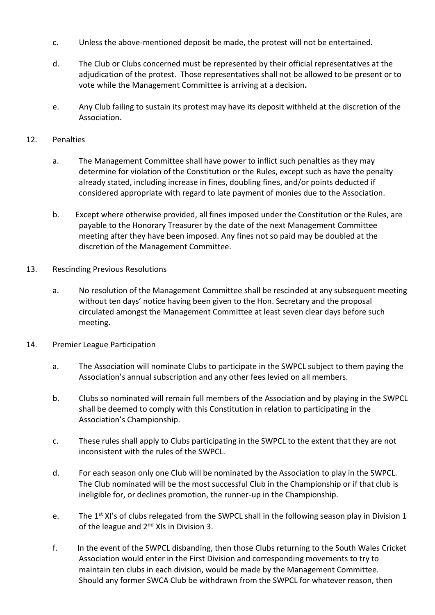- c. Unless the above-mentioned deposit be made, the protest will not be entertained.
- d. The Club or Clubs concerned must be represented by their official representatives at the adjudication of the protest. Those representatives shall not be allowed to be present or to vote while the Management Committee is arriving at a decision*.*
- e. Any Club failing to sustain its protest may have its deposit withheld at the discretion of the Association.

### 12. Penalties

- a. The Management Committee shall have power to inflict such penalties as they may determine for violation of the Constitution or the Rules, except such as have the penalty already stated, including increase in fines, doubling fines, and/or points deducted if considered appropriate with regard to late payment of monies due to the Association.
- b. Except where otherwise provided, all fines imposed under the Constitution or the Rules, are payable to the Honorary Treasurer by the date of the next Management Committee meeting after they have been imposed. Any fines not so paid may be doubled at the discretion of the Management Committee.
- 13. Rescinding Previous Resolutions
	- a. No resolution of the Management Committee shall be rescinded at any subsequent meeting without ten days' notice having been given to the Hon. Secretary and the proposal circulated amongst the Management Committee at least seven clear days before such meeting.
- 14. Premier League Participation
	- a. The Association will nominate Clubs to participate in the SWPCL subject to them paying the Association's annual subscription and any other fees levied on all members.
	- b. Clubs so nominated will remain full members of the Association and by playing in the SWPCL shall be deemed to comply with this Constitution in relation to participating in the Association's Championship.
	- c. These rules shall apply to Clubs participating in the SWPCL to the extent that they are not inconsistent with the rules of the SWPCL.
	- d. For each season only one Club will be nominated by the Association to play in the SWPCL. The Club nominated will be the most successful Club in the Championship or if that club is ineligible for, or declines promotion, the runner-up in the Championship.
	- e. The 1<sup>st</sup> XI's of clubs relegated from the SWPCL shall in the following season play in Division 1 of the league and 2<sup>nd</sup> XIs in Division 3.
	- f. In the event of the SWPCL disbanding, then those Clubs returning to the South Wales Cricket Association would enter in the First Division and corresponding movements to try to maintain ten clubs in each division, would be made by the Management Committee. Should any former SWCA Club be withdrawn from the SWPCL for whatever reason, then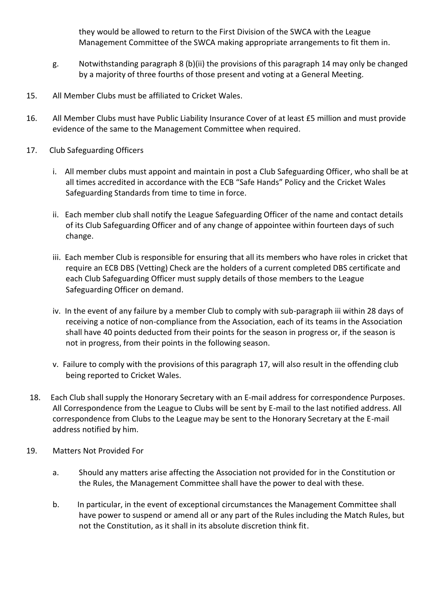they would be allowed to return to the First Division of the SWCA with the League Management Committee of the SWCA making appropriate arrangements to fit them in.

- g. Notwithstanding paragraph 8 (b)(ii) the provisions of this paragraph 14 may only be changed by a majority of three fourths of those present and voting at a General Meeting.
- 15. All Member Clubs must be affiliated to Cricket Wales.
- 16. All Member Clubs must have Public Liability Insurance Cover of at least £5 million and must provide evidence of the same to the Management Committee when required.
- 17. Club Safeguarding Officers
	- i. All member clubs must appoint and maintain in post a Club Safeguarding Officer, who shall be at all times accredited in accordance with the ECB "Safe Hands" Policy and the Cricket Wales Safeguarding Standards from time to time in force.
	- ii. Each member club shall notify the League Safeguarding Officer of the name and contact details of its Club Safeguarding Officer and of any change of appointee within fourteen days of such change.
	- iii. Each member Club is responsible for ensuring that all its members who have roles in cricket that require an ECB DBS (Vetting) Check are the holders of a current completed DBS certificate and each Club Safeguarding Officer must supply details of those members to the League Safeguarding Officer on demand.
	- iv. In the event of any failure by a member Club to comply with sub-paragraph iii within 28 days of receiving a notice of non-compliance from the Association, each of its teams in the Association shall have 40 points deducted from their points for the season in progress or, if the season is not in progress, from their points in the following season.
	- v. Failure to comply with the provisions of this paragraph 17, will also result in the offending club being reported to Cricket Wales.
- 18. Each Club shall supply the Honorary Secretary with an E-mail address for correspondence Purposes. All Correspondence from the League to Clubs will be sent by E-mail to the last notified address. All correspondence from Clubs to the League may be sent to the Honorary Secretary at the E-mail address notified by him.
- 19. Matters Not Provided For
	- a. Should any matters arise affecting the Association not provided for in the Constitution or the Rules, the Management Committee shall have the power to deal with these.
	- b. In particular, in the event of exceptional circumstances the Management Committee shall have power to suspend or amend all or any part of the Rules including the Match Rules, but not the Constitution, as it shall in its absolute discretion think fit.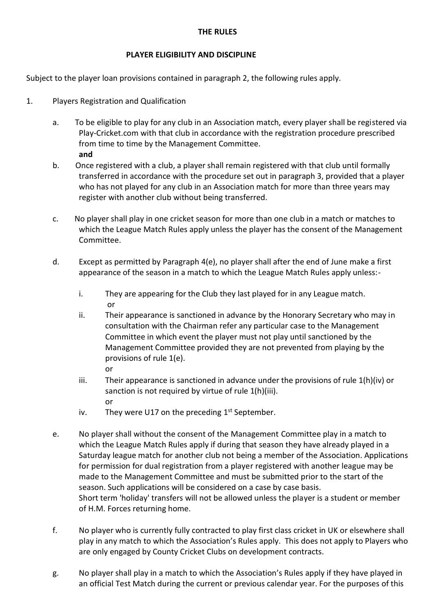#### **THE RULES**

#### **PLAYER ELIGIBILITY AND DISCIPLINE**

Subject to the player loan provisions contained in paragraph 2, the following rules apply.

- 1. Players Registration and Qualification
	- a. To be eligible to play for any club in an Association match, every player shall be registered via Play-Cricket.com with that club in accordance with the registration procedure prescribed from time to time by the Management Committee. **and**
	- b. Once registered with a club, a player shall remain registered with that club until formally transferred in accordance with the procedure set out in paragraph 3, provided that a player who has not played for any club in an Association match for more than three years may register with another club without being transferred.
	- c. No player shall play in one cricket season for more than one club in a match or matches to which the League Match Rules apply unless the player has the consent of the Management Committee.
	- d. Except as permitted by Paragraph 4(e), no player shall after the end of June make a first appearance of the season in a match to which the League Match Rules apply unless:
		- i. They are appearing for the Club they last played for in any League match. or
		- ii. Their appearance is sanctioned in advance by the Honorary Secretary who may in consultation with the Chairman refer any particular case to the Management Committee in which event the player must not play until sanctioned by the Management Committee provided they are not prevented from playing by the provisions of rule 1(e). or
		- iii. Their appearance is sanctioned in advance under the provisions of rule  $1(h)(iv)$  or sanction is not required by virtue of rule 1(h)(iii). or
		- iv. They were U17 on the preceding  $1<sup>st</sup>$  September.
	- e. No player shall without the consent of the Management Committee play in a match to which the League Match Rules apply if during that season they have already played in a Saturday league match for another club not being a member of the Association. Applications for permission for dual registration from a player registered with another league may be made to the Management Committee and must be submitted prior to the start of the season. Such applications will be considered on a case by case basis. Short term 'holiday' transfers will not be allowed unless the player is a student or member of H.M. Forces returning home.
	- f. No player who is currently fully contracted to play first class cricket in UK or elsewhere shall play in any match to which the Association's Rules apply. This does not apply to Players who are only engaged by County Cricket Clubs on development contracts.
	- g. No player shall play in a match to which the Association's Rules apply if they have played in an official Test Match during the current or previous calendar year. For the purposes of this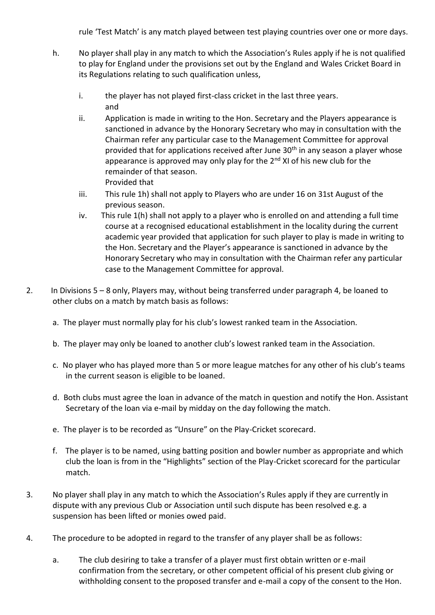rule 'Test Match' is any match played between test playing countries over one or more days.

- h. No player shall play in any match to which the Association's Rules apply if he is not qualified to play for England under the provisions set out by the England and Wales Cricket Board in its Regulations relating to such qualification unless,
	- i. the player has not played first-class cricket in the last three years. and
	- ii. Application is made in writing to the Hon. Secretary and the Players appearance is sanctioned in advance by the Honorary Secretary who may in consultation with the Chairman refer any particular case to the Management Committee for approval provided that for applications received after June 30<sup>th</sup> in any season a player whose appearance is approved may only play for the  $2<sup>nd</sup>$  XI of his new club for the remainder of that season. Provided that
	- iii. This rule 1h) shall not apply to Players who are under 16 on 31st August of the previous season.
	- iv. This rule 1(h) shall not apply to a player who is enrolled on and attending a full time course at a recognised educational establishment in the locality during the current academic year provided that application for such player to play is made in writing to the Hon. Secretary and the Player's appearance is sanctioned in advance by the Honorary Secretary who may in consultation with the Chairman refer any particular case to the Management Committee for approval.
- 2. In Divisions 5 8 only, Players may, without being transferred under paragraph 4, be loaned to other clubs on a match by match basis as follows:
	- a. The player must normally play for his club's lowest ranked team in the Association.
	- b. The player may only be loaned to another club's lowest ranked team in the Association.
	- c. No player who has played more than 5 or more league matches for any other of his club's teams in the current season is eligible to be loaned.
	- d. Both clubs must agree the loan in advance of the match in question and notify the Hon. Assistant Secretary of the loan via e-mail by midday on the day following the match.
	- e. The player is to be recorded as "Unsure" on the Play-Cricket scorecard.
	- f. The player is to be named, using batting position and bowler number as appropriate and which club the loan is from in the "Highlights" section of the Play-Cricket scorecard for the particular match.
- 3. No player shall play in any match to which the Association's Rules apply if they are currently in dispute with any previous Club or Association until such dispute has been resolved e.g. a suspension has been lifted or monies owed paid.
- 4. The procedure to be adopted in regard to the transfer of any player shall be as follows:
	- a. The club desiring to take a transfer of a player must first obtain written or e-mail confirmation from the secretary, or other competent official of his present club giving or withholding consent to the proposed transfer and e-mail a copy of the consent to the Hon.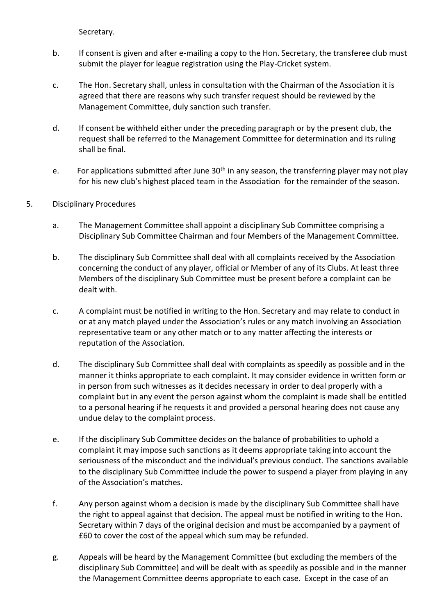Secretary.

- b. If consent is given and after e-mailing a copy to the Hon. Secretary, the transferee club must submit the player for league registration using the Play-Cricket system.
- c. The Hon. Secretary shall, unless in consultation with the Chairman of the Association it is agreed that there are reasons why such transfer request should be reviewed by the Management Committee, duly sanction such transfer.
- d. If consent be withheld either under the preceding paragraph or by the present club, the request shall be referred to the Management Committee for determination and its ruling shall be final.
- e. For applications submitted after June  $30<sup>th</sup>$  in any season, the transferring player may not play for his new club's highest placed team in the Association for the remainder of the season.
- 5. Disciplinary Procedures
	- a. The Management Committee shall appoint a disciplinary Sub Committee comprising a Disciplinary Sub Committee Chairman and four Members of the Management Committee.
	- b. The disciplinary Sub Committee shall deal with all complaints received by the Association concerning the conduct of any player, official or Member of any of its Clubs. At least three Members of the disciplinary Sub Committee must be present before a complaint can be dealt with.
	- c. A complaint must be notified in writing to the Hon. Secretary and may relate to conduct in or at any match played under the Association's rules or any match involving an Association representative team or any other match or to any matter affecting the interests or reputation of the Association.
	- d. The disciplinary Sub Committee shall deal with complaints as speedily as possible and in the manner it thinks appropriate to each complaint. It may consider evidence in written form or in person from such witnesses as it decides necessary in order to deal properly with a complaint but in any event the person against whom the complaint is made shall be entitled to a personal hearing if he requests it and provided a personal hearing does not cause any undue delay to the complaint process.
	- e. If the disciplinary Sub Committee decides on the balance of probabilities to uphold a complaint it may impose such sanctions as it deems appropriate taking into account the seriousness of the misconduct and the individual's previous conduct. The sanctions available to the disciplinary Sub Committee include the power to suspend a player from playing in any of the Association's matches.
	- f. Any person against whom a decision is made by the disciplinary Sub Committee shall have the right to appeal against that decision. The appeal must be notified in writing to the Hon. Secretary within 7 days of the original decision and must be accompanied by a payment of £60 to cover the cost of the appeal which sum may be refunded.
	- g. Appeals will be heard by the Management Committee (but excluding the members of the disciplinary Sub Committee) and will be dealt with as speedily as possible and in the manner the Management Committee deems appropriate to each case. Except in the case of an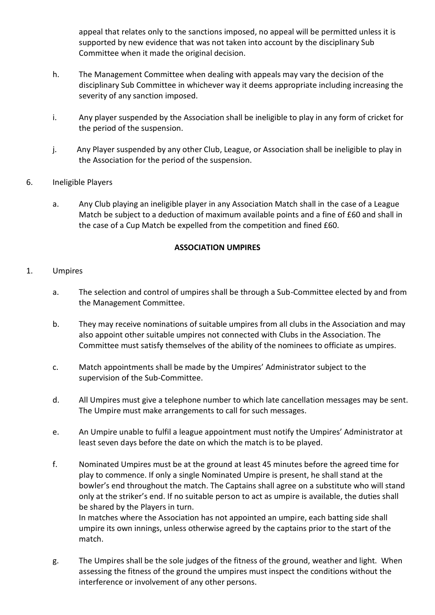appeal that relates only to the sanctions imposed, no appeal will be permitted unless it is supported by new evidence that was not taken into account by the disciplinary Sub Committee when it made the original decision.

- h. The Management Committee when dealing with appeals may vary the decision of the disciplinary Sub Committee in whichever way it deems appropriate including increasing the severity of any sanction imposed.
- i. Any player suspended by the Association shall be ineligible to play in any form of cricket for the period of the suspension.
- j. Any Player suspended by any other Club, League, or Association shall be ineligible to play in the Association for the period of the suspension.
- 6. Ineligible Players
	- a. Any Club playing an ineligible player in any Association Match shall in the case of a League Match be subject to a deduction of maximum available points and a fine of £60 and shall in the case of a Cup Match be expelled from the competition and fined £60.

#### **ASSOCIATION UMPIRES**

#### 1. Umpires

- a. The selection and control of umpires shall be through a Sub-Committee elected by and from the Management Committee.
- b. They may receive nominations of suitable umpires from all clubs in the Association and may also appoint other suitable umpires not connected with Clubs in the Association. The Committee must satisfy themselves of the ability of the nominees to officiate as umpires.
- c. Match appointments shall be made by the Umpires' Administrator subject to the supervision of the Sub-Committee.
- d. All Umpires must give a telephone number to which late cancellation messages may be sent. The Umpire must make arrangements to call for such messages.
- e. An Umpire unable to fulfil a league appointment must notify the Umpires' Administrator at least seven days before the date on which the match is to be played.
- f. Nominated Umpires must be at the ground at least 45 minutes before the agreed time for play to commence. If only a single Nominated Umpire is present, he shall stand at the bowler's end throughout the match. The Captains shall agree on a substitute who will stand only at the striker's end. If no suitable person to act as umpire is available, the duties shall be shared by the Players in turn. In matches where the Association has not appointed an umpire, each batting side shall

umpire its own innings, unless otherwise agreed by the captains prior to the start of the match.

g. The Umpires shall be the sole judges of the fitness of the ground, weather and light. When assessing the fitness of the ground the umpires must inspect the conditions without the interference or involvement of any other persons.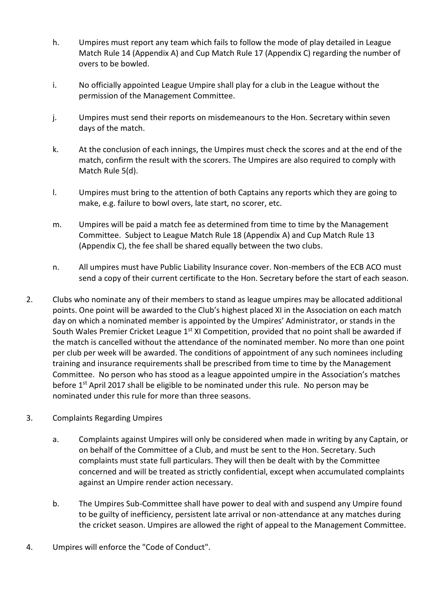- h. Umpires must report any team which fails to follow the mode of play detailed in League Match Rule 14 (Appendix A) and Cup Match Rule 17 (Appendix C) regarding the number of overs to be bowled.
- i. No officially appointed League Umpire shall play for a club in the League without the permission of the Management Committee.
- j. Umpires must send their reports on misdemeanours to the Hon. Secretary within seven days of the match.
- k. At the conclusion of each innings, the Umpires must check the scores and at the end of the match, confirm the result with the scorers. The Umpires are also required to comply with Match Rule 5(d).
- l. Umpires must bring to the attention of both Captains any reports which they are going to make, e.g. failure to bowl overs, late start, no scorer, etc.
- m. Umpires will be paid a match fee as determined from time to time by the Management Committee. Subject to League Match Rule 18 (Appendix A) and Cup Match Rule 13 (Appendix C), the fee shall be shared equally between the two clubs.
- n. All umpires must have Public Liability Insurance cover. Non-members of the ECB ACO must send a copy of their current certificate to the Hon. Secretary before the start of each season.
- 2. Clubs who nominate any of their members to stand as league umpires may be allocated additional points. One point will be awarded to the Club's highest placed XI in the Association on each match day on which a nominated member is appointed by the Umpires' Administrator, or stands in the South Wales Premier Cricket League 1<sup>st</sup> XI Competition, provided that no point shall be awarded if the match is cancelled without the attendance of the nominated member. No more than one point per club per week will be awarded. The conditions of appointment of any such nominees including training and insurance requirements shall be prescribed from time to time by the Management Committee. No person who has stood as a league appointed umpire in the Association's matches before  $1<sup>st</sup>$  April 2017 shall be eligible to be nominated under this rule. No person may be nominated under this rule for more than three seasons.
- 3. Complaints Regarding Umpires
	- a. Complaints against Umpires will only be considered when made in writing by any Captain, or on behalf of the Committee of a Club, and must be sent to the Hon. Secretary. Such complaints must state full particulars. They will then be dealt with by the Committee concerned and will be treated as strictly confidential, except when accumulated complaints against an Umpire render action necessary.
	- b. The Umpires Sub-Committee shall have power to deal with and suspend any Umpire found to be guilty of inefficiency, persistent late arrival or non-attendance at any matches during the cricket season. Umpires are allowed the right of appeal to the Management Committee.
- 4. Umpires will enforce the "Code of Conduct".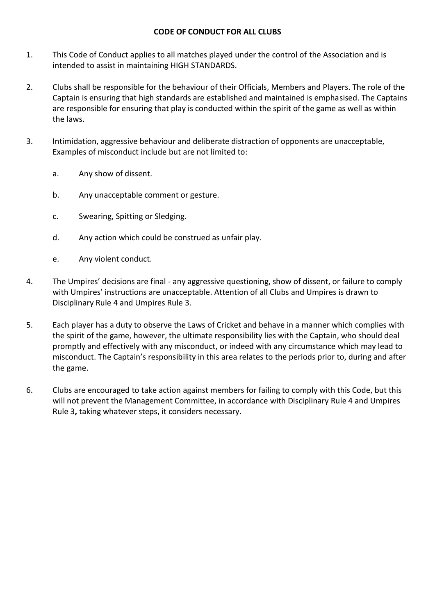#### **CODE OF CONDUCT FOR ALL CLUBS**

- 1. This Code of Conduct applies to all matches played under the control of the Association and is intended to assist in maintaining HIGH STANDARDS.
- 2. Clubs shall be responsible for the behaviour of their Officials, Members and Players. The role of the Captain is ensuring that high standards are established and maintained is emphasised. The Captains are responsible for ensuring that play is conducted within the spirit of the game as well as within the laws.
- 3. Intimidation, aggressive behaviour and deliberate distraction of opponents are unacceptable, Examples of misconduct include but are not limited to:
	- a. Any show of dissent.
	- b. Any unacceptable comment or gesture.
	- c. Swearing, Spitting or Sledging.
	- d. Any action which could be construed as unfair play.
	- e. Any violent conduct.
- 4. The Umpires' decisions are final any aggressive questioning, show of dissent, or failure to comply with Umpires' instructions are unacceptable. Attention of all Clubs and Umpires is drawn to Disciplinary Rule 4 and Umpires Rule 3.
- 5. Each player has a duty to observe the Laws of Cricket and behave in a manner which complies with the spirit of the game, however, the ultimate responsibility lies with the Captain, who should deal promptly and effectively with any misconduct, or indeed with any circumstance which may lead to misconduct. The Captain's responsibility in this area relates to the periods prior to, during and after the game.
- 6. Clubs are encouraged to take action against members for failing to comply with this Code, but this will not prevent the Management Committee, in accordance with Disciplinary Rule 4 and Umpires Rule 3**,** taking whatever steps, it considers necessary.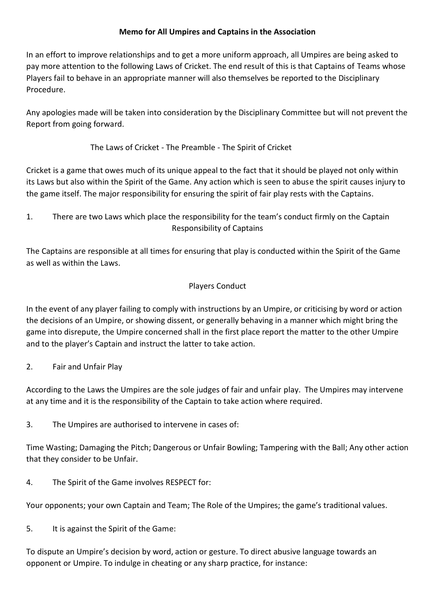### **Memo for All Umpires and Captains in the Association**

In an effort to improve relationships and to get a more uniform approach, all Umpires are being asked to pay more attention to the following Laws of Cricket. The end result of this is that Captains of Teams whose Players fail to behave in an appropriate manner will also themselves be reported to the Disciplinary Procedure.

Any apologies made will be taken into consideration by the Disciplinary Committee but will not prevent the Report from going forward.

The Laws of Cricket - The Preamble - The Spirit of Cricket

Cricket is a game that owes much of its unique appeal to the fact that it should be played not only within its Laws but also within the Spirit of the Game. Any action which is seen to abuse the spirit causes injury to the game itself. The major responsibility for ensuring the spirit of fair play rests with the Captains.

1. There are two Laws which place the responsibility for the team's conduct firmly on the Captain Responsibility of Captains

The Captains are responsible at all times for ensuring that play is conducted within the Spirit of the Game as well as within the Laws.

# Players Conduct

In the event of any player failing to comply with instructions by an Umpire, or criticising by word or action the decisions of an Umpire, or showing dissent, or generally behaving in a manner which might bring the game into disrepute, the Umpire concerned shall in the first place report the matter to the other Umpire and to the player's Captain and instruct the latter to take action.

2. Fair and Unfair Play

According to the Laws the Umpires are the sole judges of fair and unfair play. The Umpires may intervene at any time and it is the responsibility of the Captain to take action where required.

3. The Umpires are authorised to intervene in cases of:

Time Wasting; Damaging the Pitch; Dangerous or Unfair Bowling; Tampering with the Ball; Any other action that they consider to be Unfair.

4. The Spirit of the Game involves RESPECT for:

Your opponents; your own Captain and Team; The Role of the Umpires; the game's traditional values.

5. It is against the Spirit of the Game:

To dispute an Umpire's decision by word, action or gesture. To direct abusive language towards an opponent or Umpire. To indulge in cheating or any sharp practice, for instance: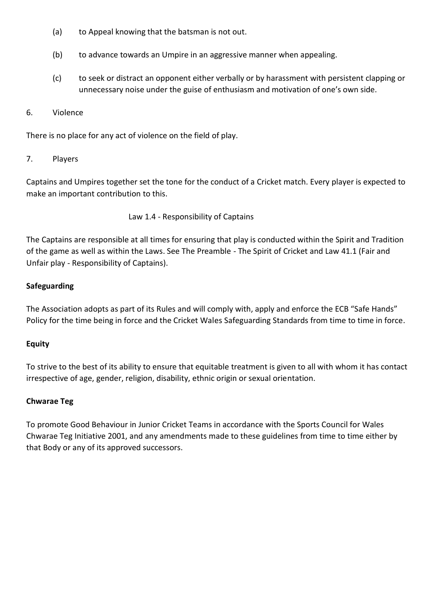- (a) to Appeal knowing that the batsman is not out.
- (b) to advance towards an Umpire in an aggressive manner when appealing.
- (c) to seek or distract an opponent either verbally or by harassment with persistent clapping or unnecessary noise under the guise of enthusiasm and motivation of one's own side.
- 6. Violence

There is no place for any act of violence on the field of play.

7. Players

Captains and Umpires together set the tone for the conduct of a Cricket match. Every player is expected to make an important contribution to this.

Law 1.4 - Responsibility of Captains

The Captains are responsible at all times for ensuring that play is conducted within the Spirit and Tradition of the game as well as within the Laws. See The Preamble - The Spirit of Cricket and Law 41.1 (Fair and Unfair play - Responsibility of Captains).

### **Safeguarding**

The Association adopts as part of its Rules and will comply with, apply and enforce the ECB "Safe Hands" Policy for the time being in force and the Cricket Wales Safeguarding Standards from time to time in force.

### **Equity**

To strive to the best of its ability to ensure that equitable treatment is given to all with whom it has contact irrespective of age, gender, religion, disability, ethnic origin or sexual orientation.

### **Chwarae Teg**

To promote Good Behaviour in Junior Cricket Teams in accordance with the Sports Council for Wales Chwarae Teg Initiative 2001, and any amendments made to these guidelines from time to time either by that Body or any of its approved successors.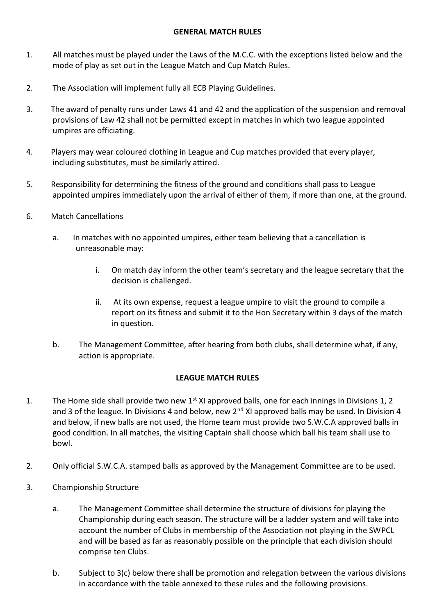#### **GENERAL MATCH RULES**

- 1. All matches must be played under the Laws of the M.C.C. with the exceptions listed below and the mode of play as set out in the League Match and Cup Match Rules.
- 2. The Association will implement fully all ECB Playing Guidelines.
- 3. The award of penalty runs under Laws 41 and 42 and the application of the suspension and removal provisions of Law 42 shall not be permitted except in matches in which two league appointed umpires are officiating.
- 4. Players may wear coloured clothing in League and Cup matches provided that every player, including substitutes, must be similarly attired.
- 5. Responsibility for determining the fitness of the ground and conditions shall pass to League appointed umpires immediately upon the arrival of either of them, if more than one, at the ground.
- 6. Match Cancellations
	- a. In matches with no appointed umpires, either team believing that a cancellation is unreasonable may:
		- i. On match day inform the other team's secretary and the league secretary that the decision is challenged.
		- ii. At its own expense, request a league umpire to visit the ground to compile a report on its fitness and submit it to the Hon Secretary within 3 days of the match in question.
	- b. The Management Committee, after hearing from both clubs, shall determine what, if any, action is appropriate.

### **LEAGUE MATCH RULES**

- 1. The Home side shall provide two new 1<sup>st</sup> XI approved balls, one for each innings in Divisions 1, 2 and 3 of the league. In Divisions 4 and below, new 2<sup>nd</sup> XI approved balls may be used. In Division 4 and below, if new balls are not used, the Home team must provide two S.W.C.A approved balls in good condition. In all matches, the visiting Captain shall choose which ball his team shall use to bowl.
- 2. Only official S.W.C.A. stamped balls as approved by the Management Committee are to be used.
- 3. Championship Structure
	- a. The Management Committee shall determine the structure of divisions for playing the Championship during each season. The structure will be a ladder system and will take into account the number of Clubs in membership of the Association not playing in the SWPCL and will be based as far as reasonably possible on the principle that each division should comprise ten Clubs.
	- b. Subject to 3(c) below there shall be promotion and relegation between the various divisions in accordance with the table annexed to these rules and the following provisions.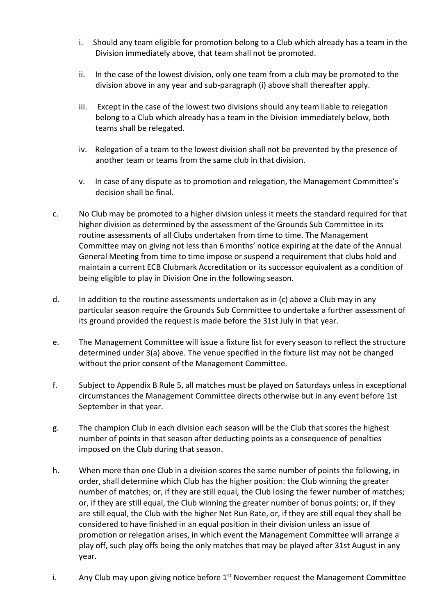- i. Should any team eligible for promotion belong to a Club which already has a team in the Division immediately above, that team shall not be promoted.
- ii. In the case of the lowest division, only one team from a club may be promoted to the division above in any year and sub-paragraph (i) above shall thereafter apply.
- iii. Except in the case of the lowest two divisions should any team liable to relegation belong to a Club which already has a team in the Division immediately below, both teams shall be relegated.
- iv. Relegation of a team to the lowest division shall not be prevented by the presence of another team or teams from the same club in that division.
- v. In case of any dispute as to promotion and relegation, the Management Committee's decision shall be final.
- c. No Club may be promoted to a higher division unless it meets the standard required for that higher division as determined by the assessment of the Grounds Sub Committee in its routine assessments of all Clubs undertaken from time to time. The Management Committee may on giving not less than 6 months' notice expiring at the date of the Annual General Meeting from time to time impose or suspend a requirement that clubs hold and maintain a current ECB Clubmark Accreditation or its successor equivalent as a condition of being eligible to play in Division One in the following season.
- d. In addition to the routine assessments undertaken as in (c) above a Club may in any particular season require the Grounds Sub Committee to undertake a further assessment of its ground provided the request is made before the 31st July in that year.
- e. The Management Committee will issue a fixture list for every season to reflect the structure determined under 3(a) above. The venue specified in the fixture list may not be changed without the prior consent of the Management Committee.
- f. Subject to Appendix B Rule 5, all matches must be played on Saturdays unless in exceptional circumstances the Management Committee directs otherwise but in any event before 1st September in that year.
- g. The champion Club in each division each season will be the Club that scores the highest number of points in that season after deducting points as a consequence of penalties imposed on the Club during that season.
- h. When more than one Club in a division scores the same number of points the following, in order, shall determine which Club has the higher position: the Club winning the greater number of matches; or, if they are still equal, the Club losing the fewer number of matches; or, if they are still equal, the Club winning the greater number of bonus points; or, if they are still equal, the Club with the higher Net Run Rate, or, if they are still equal they shall be considered to have finished in an equal position in their division unless an issue of promotion or relegation arises, in which event the Management Committee will arrange a play off, such play offs being the only matches that may be played after 31st August in any year.
- i. Any Club may upon giving notice before  $1<sup>st</sup>$  November request the Management Committee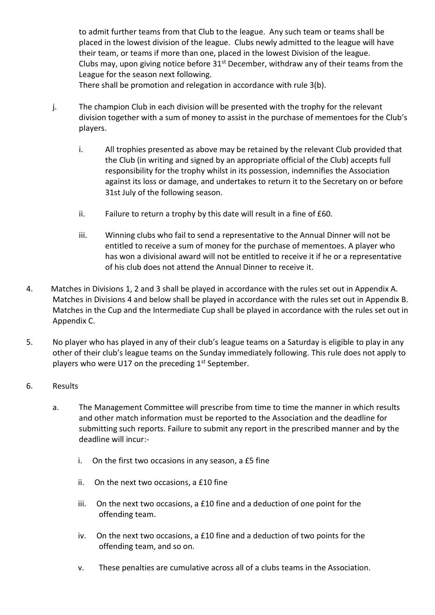to admit further teams from that Club to the league. Any such team or teams shall be placed in the lowest division of the league. Clubs newly admitted to the league will have their team, or teams if more than one, placed in the lowest Division of the league. Clubs may, upon giving notice before  $31<sup>st</sup>$  December, withdraw any of their teams from the League for the season next following.

There shall be promotion and relegation in accordance with rule 3(b).

- j. The champion Club in each division will be presented with the trophy for the relevant division together with a sum of money to assist in the purchase of mementoes for the Club's players.
	- i. All trophies presented as above may be retained by the relevant Club provided that the Club (in writing and signed by an appropriate official of the Club) accepts full responsibility for the trophy whilst in its possession, indemnifies the Association against its loss or damage, and undertakes to return it to the Secretary on or before 31st July of the following season.
	- ii. Failure to return a trophy by this date will result in a fine of £60.
	- iii. Winning clubs who fail to send a representative to the Annual Dinner will not be entitled to receive a sum of money for the purchase of mementoes. A player who has won a divisional award will not be entitled to receive it if he or a representative of his club does not attend the Annual Dinner to receive it.
- 4. Matches in Divisions 1, 2 and 3 shall be played in accordance with the rules set out in Appendix A. Matches in Divisions 4 and below shall be played in accordance with the rules set out in Appendix B. Matches in the Cup and the Intermediate Cup shall be played in accordance with the rules set out in Appendix C.
- 5. No player who has played in any of their club's league teams on a Saturday is eligible to play in any other of their club's league teams on the Sunday immediately following. This rule does not apply to players who were U17 on the preceding  $1<sup>st</sup>$  September.
- 6. Results
	- a. The Management Committee will prescribe from time to time the manner in which results and other match information must be reported to the Association and the deadline for submitting such reports. Failure to submit any report in the prescribed manner and by the deadline will incur:
		- i. On the first two occasions in any season, a £5 fine
		- ii. On the next two occasions, a £10 fine
		- iii. On the next two occasions, a £10 fine and a deduction of one point for the offending team.
		- iv. On the next two occasions, a £10 fine and a deduction of two points for the offending team, and so on.
		- v. These penalties are cumulative across all of a clubs teams in the Association.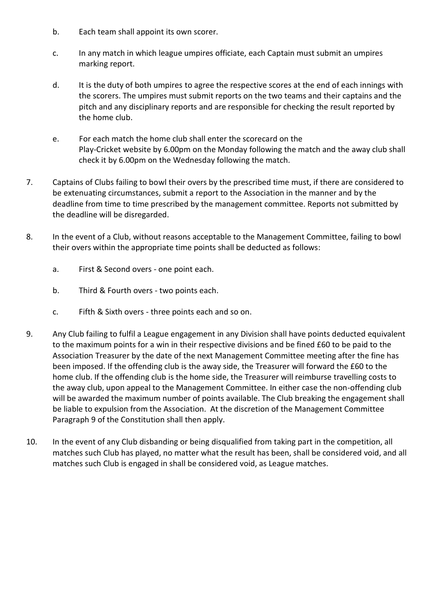- b. Each team shall appoint its own scorer.
- c. In any match in which league umpires officiate, each Captain must submit an umpires marking report.
- d. It is the duty of both umpires to agree the respective scores at the end of each innings with the scorers. The umpires must submit reports on the two teams and their captains and the pitch and any disciplinary reports and are responsible for checking the result reported by the home club.
- e. For each match the home club shall enter the scorecard on the Play-Cricket website by 6.00pm on the Monday following the match and the away club shall check it by 6.00pm on the Wednesday following the match.
- 7. Captains of Clubs failing to bowl their overs by the prescribed time must, if there are considered to be extenuating circumstances, submit a report to the Association in the manner and by the deadline from time to time prescribed by the management committee. Reports not submitted by the deadline will be disregarded.
- 8. In the event of a Club, without reasons acceptable to the Management Committee, failing to bowl their overs within the appropriate time points shall be deducted as follows:
	- a. First & Second overs one point each.
	- b. Third & Fourth overs two points each.
	- c. Fifth & Sixth overs three points each and so on.
- 9. Any Club failing to fulfil a League engagement in any Division shall have points deducted equivalent to the maximum points for a win in their respective divisions and be fined £60 to be paid to the Association Treasurer by the date of the next Management Committee meeting after the fine has been imposed. If the offending club is the away side, the Treasurer will forward the £60 to the home club. If the offending club is the home side, the Treasurer will reimburse travelling costs to the away club, upon appeal to the Management Committee. In either case the non-offending club will be awarded the maximum number of points available. The Club breaking the engagement shall be liable to expulsion from the Association. At the discretion of the Management Committee Paragraph 9 of the Constitution shall then apply.
- 10. In the event of any Club disbanding or being disqualified from taking part in the competition, all matches such Club has played, no matter what the result has been, shall be considered void, and all matches such Club is engaged in shall be considered void, as League matches.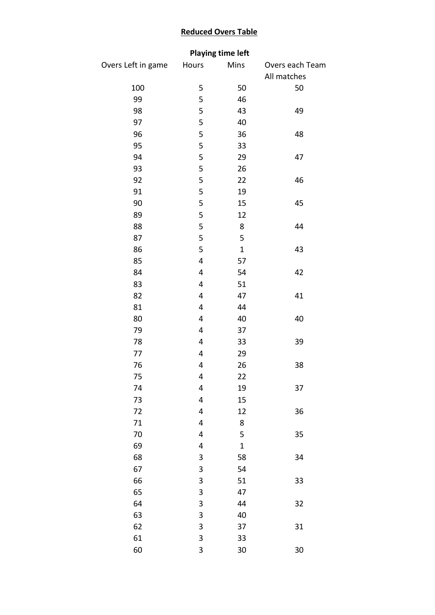## **Reduced Overs Table**

# **Playing time left**

| Overs Left in game | Hours                   | Mins         | Overs each Team |  |  |
|--------------------|-------------------------|--------------|-----------------|--|--|
|                    |                         |              | All matches     |  |  |
| 100                | 5                       | 50           | 50              |  |  |
| 99                 | 5                       | 46           |                 |  |  |
| 98                 | 5                       | 43           | 49              |  |  |
| 97                 | 5                       | 40           |                 |  |  |
| 96                 | 5                       | 36           | 48              |  |  |
| 95                 | 5                       | 33           |                 |  |  |
| 94                 | 5                       | 29           | 47              |  |  |
| 93                 | 5                       | 26           |                 |  |  |
| 92                 | 5                       | 22           | 46              |  |  |
| 91                 | 5                       | 19           |                 |  |  |
| 90                 | 5                       | 15           | 45              |  |  |
| 89                 | 5                       | 12           |                 |  |  |
| 88                 | 5                       | 8            | 44              |  |  |
| 87                 | 5                       | 5            |                 |  |  |
| 86                 | 5                       | $\mathbf{1}$ | 43              |  |  |
| 85                 | 4                       | 57           |                 |  |  |
| 84                 | $\overline{\mathbf{4}}$ | 54           | 42              |  |  |
| 83                 | 4                       | 51           |                 |  |  |
| 82                 | 4                       | 47           | 41              |  |  |
| 81                 | $\overline{\mathbf{4}}$ | 44           |                 |  |  |
| 80                 | 4                       | 40           | 40              |  |  |
| 79                 | $\overline{\mathbf{4}}$ | 37           |                 |  |  |
| 78                 | 4                       | 33           | 39              |  |  |
| 77                 | 4                       | 29           |                 |  |  |
| 76                 | $\overline{\mathbf{4}}$ | 26           | 38              |  |  |
| 75                 | 4                       | 22           |                 |  |  |
| 74                 | 4                       | 19           | 37              |  |  |
| 73                 | 4                       | 15           |                 |  |  |
| 72                 | 4                       | 12           | 36              |  |  |
| 71                 | $\overline{\mathbf{4}}$ | 8            |                 |  |  |
| 70                 | 4                       | 5            | 35              |  |  |
| 69                 | 4                       | $\mathbf 1$  |                 |  |  |
| 68                 | 3                       | 58           | 34              |  |  |
| 67                 | 3                       | 54           |                 |  |  |
| 66                 | 3                       | 51           | 33              |  |  |
| 65                 | 3                       | 47           |                 |  |  |
| 64                 | 3                       | 44           | 32              |  |  |
| 63                 | 3                       | 40           |                 |  |  |
| 62                 | 3                       | 37           | 31              |  |  |
| 61                 | 3                       | 33           |                 |  |  |
| 60                 | 3                       | 30           | $30\,$          |  |  |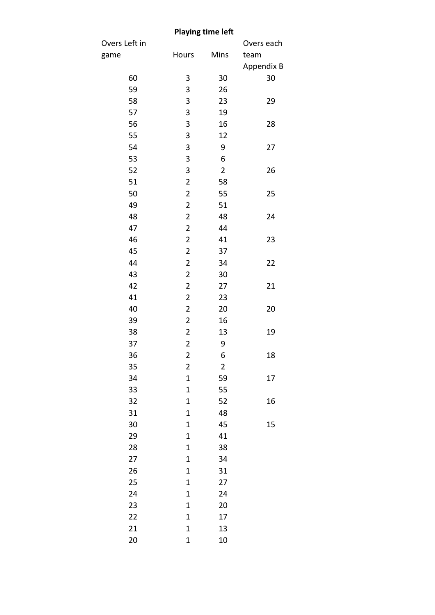|               |                         | <b>Playing time left</b> |            |
|---------------|-------------------------|--------------------------|------------|
| Overs Left in |                         |                          | Overs each |
| game          | Hours                   | Mins                     | team       |
|               |                         |                          | Appendix B |
| 60            | 3                       | 30                       | 30         |
| 59            | 3                       | 26                       |            |
| 58            | 3                       | 23                       | 29         |
| 57            | 3                       | 19                       |            |
| 56            | 3                       | 16                       | 28         |
| 55            | 3                       | 12                       |            |
| 54            | 3                       | 9                        | 27         |
| 53            | 3                       | 6                        |            |
| 52            | 3                       | $\overline{2}$           | 26         |
| 51            | $\overline{2}$          | 58                       |            |
| 50            | $\overline{\mathbf{c}}$ | 55                       | 25         |
| 49            | $\overline{2}$          | 51                       |            |
| 48            | $\overline{2}$          | 48                       | 24         |
| 47            | $\overline{\mathbf{c}}$ | 44                       |            |
| 46            | $\overline{2}$          | 41                       | 23         |
| 45            | $\overline{2}$          | 37                       |            |
| 44            | $\overline{\mathbf{c}}$ | 34                       | 22         |
| 43            | $\overline{\mathbf{c}}$ | 30                       |            |
| 42            | $\overline{2}$          | 27                       | 21         |
| 41            | $\overline{c}$          | 23                       |            |
| 40            | $\overline{2}$          | 20                       | 20         |
| 39            | $\overline{2}$          | 16                       |            |
| 38            | $\overline{2}$          | 13                       | 19         |
| 37            | $\overline{\mathbf{c}}$ | 9                        |            |
| 36            | $\overline{\mathbf{c}}$ | 6                        | 18         |
| 35            | $\overline{2}$          | $\overline{2}$           |            |
| 34            | 1                       | 59                       | 17         |
| 33            | $\mathbf 1$             | 55                       |            |
| 32            | $\mathbf 1$             | 52                       | 16         |
| 31            | 1                       | 48                       |            |
| 30            | $\mathbf 1$             | 45                       | 15         |
| 29            | $\mathbf 1$             | 41                       |            |
| 28            | 1                       | 38                       |            |
| 27            | $\mathbf 1$             | 34                       |            |
| 26            | $\mathbf 1$             | 31                       |            |
| 25            | 1                       | 27                       |            |
| 24            | $\mathbf 1$             | 24                       |            |
| 23            | $\mathbf 1$             | 20                       |            |
| 22            | $\mathbf 1$             | 17                       |            |
| 21            | 1                       | 13                       |            |
| 20            | $\mathbf 1$             | 10                       |            |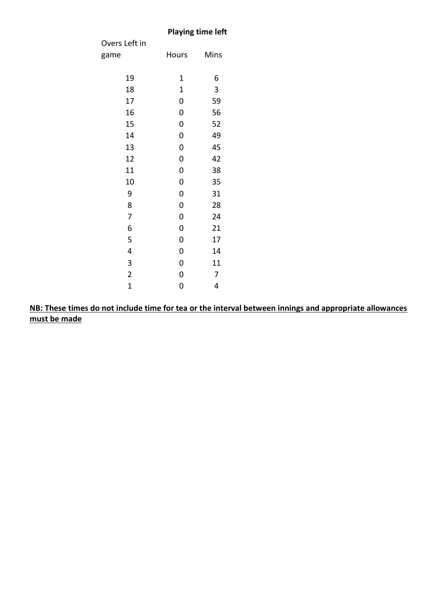## **Playing time left**

| Overs Left in  |       |      |
|----------------|-------|------|
| game           | Hours | Mins |
|                |       |      |
| 19             | 1     | 6    |
| 18             | 1     | 3    |
| 17             | 0     | 59   |
| 16             | 0     | 56   |
| 15             | 0     | 52   |
| 14             | 0     | 49   |
| 13             | 0     | 45   |
| 12             | 0     | 42   |
| 11             | 0     | 38   |
| 10             | 0     | 35   |
| 9              | 0     | 31   |
| 8              | 0     | 28   |
| 7              | 0     | 24   |
| 6              | 0     | 21   |
| 5              | 0     | 17   |
| 4              | 0     | 14   |
| 3              | 0     | 11   |
| $\overline{c}$ | 0     | 7    |
| $\overline{1}$ | 0     | 4    |

**NB: These times do not include time for tea or the interval between innings and appropriate allowances must be made**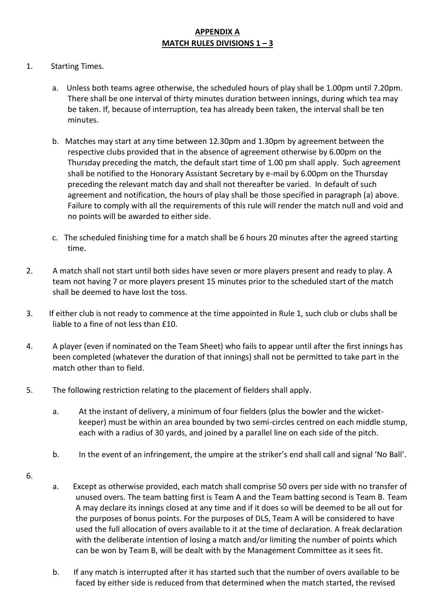## **APPENDIX A MATCH RULES DIVISIONS 1 – 3**

#### 1.Starting Times.

- a. Unless both teams agree otherwise, the scheduled hours of play shall be 1.00pm until 7.20pm. There shall be one interval of thirty minutes duration between innings, during which tea may be taken. If, because of interruption, tea has already been taken, the interval shall be ten minutes.
- b. Matches may start at any time between 12.30pm and 1.30pm by agreement between the respective clubs provided that in the absence of agreement otherwise by 6.00pm on the Thursday preceding the match, the default start time of 1.00 pm shall apply. Such agreement shall be notified to the Honorary Assistant Secretary by e-mail by 6.00pm on the Thursday preceding the relevant match day and shall not thereafter be varied. In default of such agreement and notification, the hours of play shall be those specified in paragraph (a) above. Failure to comply with all the requirements of this rule will render the match null and void and no points will be awarded to either side.
- c. The scheduled finishing time for a match shall be 6 hours 20 minutes after the agreed starting time.
- 2. A match shall not start until both sides have seven or more players present and ready to play. A team not having 7 or more players present 15 minutes prior to the scheduled start of the match shall be deemed to have lost the toss.
- 3. If either club is not ready to commence at the time appointed in Rule 1, such club or clubs shall be liable to a fine of not less than £10.
- 4. A player (even if nominated on the Team Sheet) who fails to appear until after the first innings has been completed (whatever the duration of that innings) shall not be permitted to take part in the match other than to field.
- 5. The following restriction relating to the placement of fielders shall apply.
	- a. At the instant of delivery, a minimum of four fielders (plus the bowler and the wicketkeeper) must be within an area bounded by two semi-circles centred on each middle stump, each with a radius of 30 yards, and joined by a parallel line on each side of the pitch.
	- b. In the event of an infringement, the umpire at the striker's end shall call and signal 'No Ball'.
- 6.
- a. Except as otherwise provided, each match shall comprise 50 overs per side with no transfer of unused overs. The team batting first is Team A and the Team batting second is Team B. Team A may declare its innings closed at any time and if it does so will be deemed to be all out for the purposes of bonus points. For the purposes of DLS, Team A will be considered to have used the full allocation of overs available to it at the time of declaration. A freak declaration with the deliberate intention of losing a match and/or limiting the number of points which can be won by Team B, will be dealt with by the Management Committee as it sees fit.
- b. If any match is interrupted after it has started such that the number of overs available to be faced by either side is reduced from that determined when the match started, the revised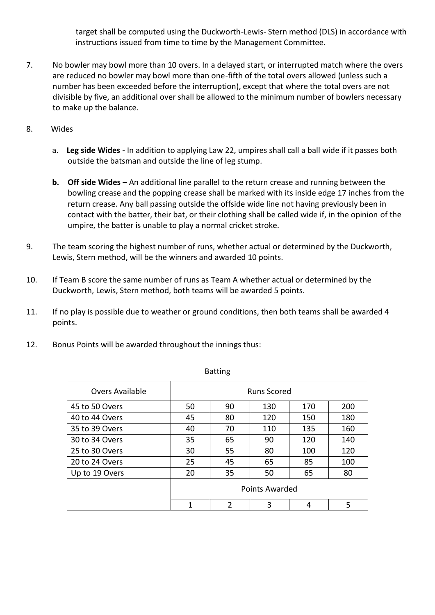target shall be computed using the Duckworth-Lewis- Stern method (DLS) in accordance with instructions issued from time to time by the Management Committee.

- 7. No bowler may bowl more than 10 overs. In a delayed start, or interrupted match where the overs are reduced no bowler may bowl more than one-fifth of the total overs allowed (unless such a number has been exceeded before the interruption), except that where the total overs are not divisible by five, an additional over shall be allowed to the minimum number of bowlers necessary to make up the balance.
- 8. Wides
	- a. **Leg side Wides -** In addition to applying Law 22, umpires shall call a ball wide if it passes both outside the batsman and outside the line of leg stump.
	- **b. Off side Wides –** An additional line parallel to the return crease and running between the bowling crease and the popping crease shall be marked with its inside edge 17 inches from the return crease. Any ball passing outside the offside wide line not having previously been in contact with the batter, their bat, or their clothing shall be called wide if, in the opinion of the umpire, the batter is unable to play a normal cricket stroke.
- 9. The team scoring the highest number of runs, whether actual or determined by the Duckworth, Lewis, Stern method, will be the winners and awarded 10 points.
- 10. If Team B score the same number of runs as Team A whether actual or determined by the Duckworth, Lewis, Stern method, both teams will be awarded 5 points.
- 11. If no play is possible due to weather or ground conditions, then both teams shall be awarded 4 points.

| <b>Batting</b>  |                       |                |     |     |     |  |
|-----------------|-----------------------|----------------|-----|-----|-----|--|
| Overs Available | <b>Runs Scored</b>    |                |     |     |     |  |
| 45 to 50 Overs  | 50                    | 90             | 130 | 170 | 200 |  |
| 40 to 44 Overs  | 45                    | 80             | 120 | 150 | 180 |  |
| 35 to 39 Overs  | 40                    | 70             | 110 | 135 | 160 |  |
| 30 to 34 Overs  | 35                    | 65             | 90  | 120 | 140 |  |
| 25 to 30 Overs  | 30                    | 55             | 80  | 100 | 120 |  |
| 20 to 24 Overs  | 25                    | 45             | 65  | 85  | 100 |  |
| Up to 19 Overs  | 20                    | 35             | 50  | 65  | 80  |  |
|                 | <b>Points Awarded</b> |                |     |     |     |  |
|                 | $\mathbf 1$           | $\overline{2}$ | 3   | 4   | 5   |  |

12. Bonus Points will be awarded throughout the innings thus: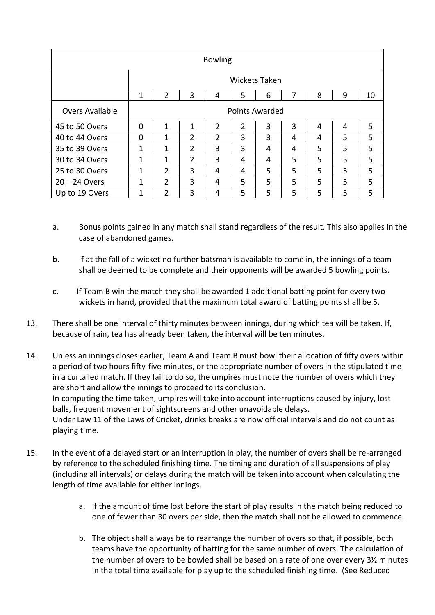| <b>Bowling</b>         |                       |                |                |                |                |   |   |   |   |    |
|------------------------|-----------------------|----------------|----------------|----------------|----------------|---|---|---|---|----|
|                        | <b>Wickets Taken</b>  |                |                |                |                |   |   |   |   |    |
|                        | 1                     | 2              | 3              | 4              | 5              | 6 | 7 | 8 | 9 | 10 |
| <b>Overs Available</b> | <b>Points Awarded</b> |                |                |                |                |   |   |   |   |    |
| 45 to 50 Overs         | 0                     | $\mathbf{1}$   | 1              | $\overline{2}$ | $\overline{2}$ | 3 | 3 | 4 | 4 | 5  |
| 40 to 44 Overs         | 0                     | $\mathbf{1}$   | $\overline{2}$ | $\mathfrak{p}$ | 3              | 3 | 4 | 4 | 5 | 5  |
| 35 to 39 Overs         | 1                     | $\mathbf{1}$   | $\overline{2}$ | 3              | 3              | 4 | 4 | 5 | 5 | 5  |
| 30 to 34 Overs         | 1                     | $\mathbf{1}$   | $\overline{2}$ | 3              | 4              | 4 | 5 | 5 | 5 | 5  |
| 25 to 30 Overs         | 1                     | $\overline{2}$ | 3              | 4              | 4              | 5 | 5 | 5 | 5 | 5  |
| $20 - 24$ Overs        | 1                     | $\overline{2}$ | 3              | 4              | 5              | 5 | 5 | 5 | 5 | 5  |
| Up to 19 Overs         | 1                     | $\overline{2}$ | 3              | 4              | 5              | 5 | 5 | 5 | 5 | 5  |

- a. Bonus points gained in any match shall stand regardless of the result. This also applies in the case of abandoned games.
- b. If at the fall of a wicket no further batsman is available to come in, the innings of a team shall be deemed to be complete and their opponents will be awarded 5 bowling points.
- c. If Team B win the match they shall be awarded 1 additional batting point for every two wickets in hand, provided that the maximum total award of batting points shall be 5.
- 13. There shall be one interval of thirty minutes between innings, during which tea will be taken. If, because of rain, tea has already been taken, the interval will be ten minutes.
- 14. Unless an innings closes earlier, Team A and Team B must bowl their allocation of fifty overs within a period of two hours fifty-five minutes, or the appropriate number of overs in the stipulated time in a curtailed match. If they fail to do so, the umpires must note the number of overs which they are short and allow the innings to proceed to its conclusion. In computing the time taken, umpires will take into account interruptions caused by injury, lost balls, frequent movement of sightscreens and other unavoidable delays. Under Law 11 of the Laws of Cricket, drinks breaks are now official intervals and do not count as playing time.
- 15. In the event of a delayed start or an interruption in play, the number of overs shall be re-arranged by reference to the scheduled finishing time. The timing and duration of all suspensions of play (including all intervals) or delays during the match will be taken into account when calculating the length of time available for either innings.
	- a. If the amount of time lost before the start of play results in the match being reduced to one of fewer than 30 overs per side, then the match shall not be allowed to commence.
	- b. The object shall always be to rearrange the number of overs so that, if possible, both teams have the opportunity of batting for the same number of overs. The calculation of the number of overs to be bowled shall be based on a rate of one over every 3½ minutes in the total time available for play up to the scheduled finishing time. (See Reduced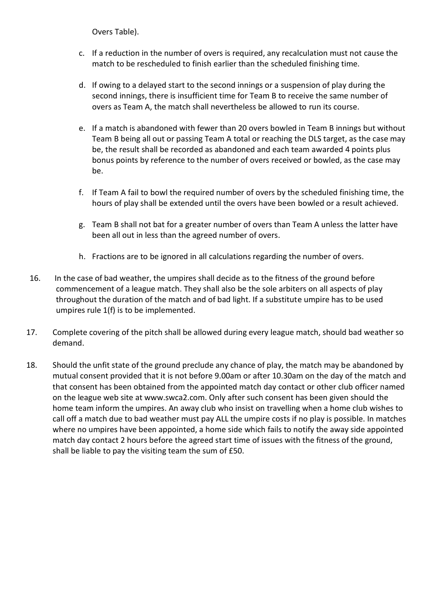Overs Table).

- c. If a reduction in the number of overs is required, any recalculation must not cause the match to be rescheduled to finish earlier than the scheduled finishing time.
- d. If owing to a delayed start to the second innings or a suspension of play during the second innings, there is insufficient time for Team B to receive the same number of overs as Team A, the match shall nevertheless be allowed to run its course.
- e. If a match is abandoned with fewer than 20 overs bowled in Team B innings but without Team B being all out or passing Team A total or reaching the DLS target, as the case may be, the result shall be recorded as abandoned and each team awarded 4 points plus bonus points by reference to the number of overs received or bowled, as the case may be.
- f. If Team A fail to bowl the required number of overs by the scheduled finishing time, the hours of play shall be extended until the overs have been bowled or a result achieved.
- g. Team B shall not bat for a greater number of overs than Team A unless the latter have been all out in less than the agreed number of overs.
- h. Fractions are to be ignored in all calculations regarding the number of overs.
- 16. In the case of bad weather, the umpires shall decide as to the fitness of the ground before commencement of a league match. They shall also be the sole arbiters on all aspects of play throughout the duration of the match and of bad light. If a substitute umpire has to be used umpires rule 1(f) is to be implemented.
- 17. Complete covering of the pitch shall be allowed during every league match, should bad weather so demand.
- 18. Should the unfit state of the ground preclude any chance of play, the match may be abandoned by mutual consent provided that it is not before 9.00am or after 10.30am on the day of the match and that consent has been obtained from the appointed match day contact or other club officer named on the league web site at www.swca2.com. Only after such consent has been given should the home team inform the umpires. An away club who insist on travelling when a home club wishes to call off a match due to bad weather must pay ALL the umpire costs if no play is possible. In matches where no umpires have been appointed, a home side which fails to notify the away side appointed match day contact 2 hours before the agreed start time of issues with the fitness of the ground, shall be liable to pay the visiting team the sum of £50.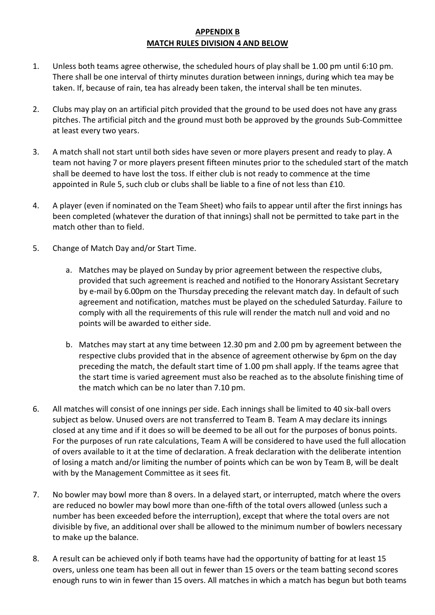### **APPENDIX B MATCH RULES DIVISION 4 AND BELOW**

- 1. Unless both teams agree otherwise, the scheduled hours of play shall be 1.00 pm until 6:10 pm. There shall be one interval of thirty minutes duration between innings, during which tea may be taken. If, because of rain, tea has already been taken, the interval shall be ten minutes.
- 2. Clubs may play on an artificial pitch provided that the ground to be used does not have any grass pitches. The artificial pitch and the ground must both be approved by the grounds Sub-Committee at least every two years.
- 3. A match shall not start until both sides have seven or more players present and ready to play. A team not having 7 or more players present fifteen minutes prior to the scheduled start of the match shall be deemed to have lost the toss. If either club is not ready to commence at the time appointed in Rule 5, such club or clubs shall be liable to a fine of not less than £10.
- 4. A player (even if nominated on the Team Sheet) who fails to appear until after the first innings has been completed (whatever the duration of that innings) shall not be permitted to take part in the match other than to field.
- 5. Change of Match Day and/or Start Time.
	- a. Matches may be played on Sunday by prior agreement between the respective clubs, provided that such agreement is reached and notified to the Honorary Assistant Secretary by e-mail by 6.00pm on the Thursday preceding the relevant match day. In default of such agreement and notification, matches must be played on the scheduled Saturday. Failure to comply with all the requirements of this rule will render the match null and void and no points will be awarded to either side.
	- b. Matches may start at any time between 12.30 pm and 2.00 pm by agreement between the respective clubs provided that in the absence of agreement otherwise by 6pm on the day preceding the match, the default start time of 1.00 pm shall apply. If the teams agree that the start time is varied agreement must also be reached as to the absolute finishing time of the match which can be no later than 7.10 pm.
- 6. All matches will consist of one innings per side. Each innings shall be limited to 40 six-ball overs subject as below. Unused overs are not transferred to Team B. Team A may declare its innings closed at any time and if it does so will be deemed to be all out for the purposes of bonus points. For the purposes of run rate calculations, Team A will be considered to have used the full allocation of overs available to it at the time of declaration. A freak declaration with the deliberate intention of losing a match and/or limiting the number of points which can be won by Team B, will be dealt with by the Management Committee as it sees fit.
- 7. No bowler may bowl more than 8 overs. In a delayed start, or interrupted, match where the overs are reduced no bowler may bowl more than one-fifth of the total overs allowed (unless such a number has been exceeded before the interruption), except that where the total overs are not divisible by five, an additional over shall be allowed to the minimum number of bowlers necessary to make up the balance.
- 8. A result can be achieved only if both teams have had the opportunity of batting for at least 15 overs, unless one team has been all out in fewer than 15 overs or the team batting second scores enough runs to win in fewer than 15 overs. All matches in which a match has begun but both teams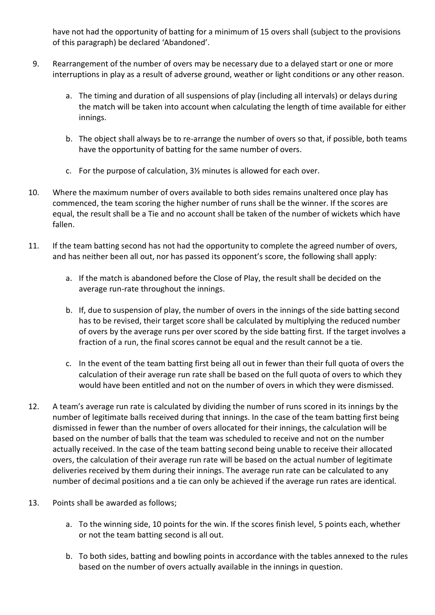have not had the opportunity of batting for a minimum of 15 overs shall (subject to the provisions of this paragraph) be declared 'Abandoned'.

- 9. Rearrangement of the number of overs may be necessary due to a delayed start or one or more interruptions in play as a result of adverse ground, weather or light conditions or any other reason.
	- a. The timing and duration of all suspensions of play (including all intervals) or delays during the match will be taken into account when calculating the length of time available for either innings.
	- b. The object shall always be to re-arrange the number of overs so that, if possible, both teams have the opportunity of batting for the same number of overs.
	- c. For the purpose of calculation, 3½ minutes is allowed for each over.
- 10. Where the maximum number of overs available to both sides remains unaltered once play has commenced, the team scoring the higher number of runs shall be the winner. If the scores are equal, the result shall be a Tie and no account shall be taken of the number of wickets which have fallen.
- 11. If the team batting second has not had the opportunity to complete the agreed number of overs, and has neither been all out, nor has passed its opponent's score, the following shall apply:
	- a. If the match is abandoned before the Close of Play, the result shall be decided on the average run-rate throughout the innings.
	- b. If, due to suspension of play, the number of overs in the innings of the side batting second has to be revised, their target score shall be calculated by multiplying the reduced number of overs by the average runs per over scored by the side batting first. If the target involves a fraction of a run, the final scores cannot be equal and the result cannot be a tie.
	- c. In the event of the team batting first being all out in fewer than their full quota of overs the calculation of their average run rate shall be based on the full quota of overs to which they would have been entitled and not on the number of overs in which they were dismissed.
- 12. A team's average run rate is calculated by dividing the number of runs scored in its innings by the number of legitimate balls received during that innings. In the case of the team batting first being dismissed in fewer than the number of overs allocated for their innings, the calculation will be based on the number of balls that the team was scheduled to receive and not on the number actually received. In the case of the team batting second being unable to receive their allocated overs, the calculation of their average run rate will be based on the actual number of legitimate deliveries received by them during their innings. The average run rate can be calculated to any number of decimal positions and a tie can only be achieved if the average run rates are identical.
- 13. Points shall be awarded as follows;
	- a. To the winning side, 10 points for the win. If the scores finish level, 5 points each, whether or not the team batting second is all out.
	- b. To both sides, batting and bowling points in accordance with the tables annexed to the rules based on the number of overs actually available in the innings in question.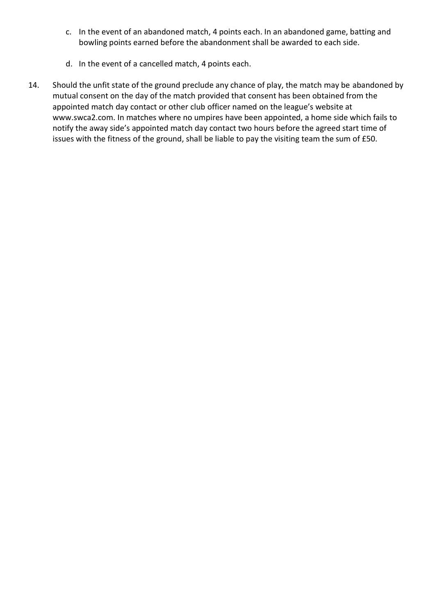- c. In the event of an abandoned match, 4 points each. In an abandoned game, batting and bowling points earned before the abandonment shall be awarded to each side.
- d. In the event of a cancelled match, 4 points each.
- 14. Should the unfit state of the ground preclude any chance of play, the match may be abandoned by mutual consent on the day of the match provided that consent has been obtained from the appointed match day contact or other club officer named on the league's website at www.swca2.com. In matches where no umpires have been appointed, a home side which fails to notify the away side's appointed match day contact two hours before the agreed start time of issues with the fitness of the ground, shall be liable to pay the visiting team the sum of £50.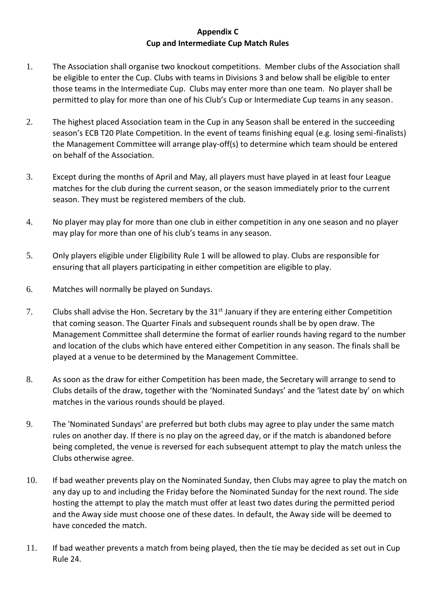### **Appendix C Cup and Intermediate Cup Match Rules**

- 1. The Association shall organise two knockout competitions. Member clubs of the Association shall be eligible to enter the Cup. Clubs with teams in Divisions 3 and below shall be eligible to enter those teams in the Intermediate Cup. Clubs may enter more than one team. No player shall be permitted to play for more than one of his Club's Cup or Intermediate Cup teams in any season.
- 2. The highest placed Association team in the Cup in any Season shall be entered in the succeeding season's ECB T20 Plate Competition. In the event of teams finishing equal (e.g. losing semi-finalists) the Management Committee will arrange play-off(s) to determine which team should be entered on behalf of the Association.
- 3. Except during the months of April and May, all players must have played in at least four League matches for the club during the current season, or the season immediately prior to the current season. They must be registered members of the club.
- 4. No player may play for more than one club in either competition in any one season and no player may play for more than one of his club's teams in any season.
- 5. Only players eligible under Eligibility Rule 1 will be allowed to play. Clubs are responsible for ensuring that all players participating in either competition are eligible to play.
- 6. Matches will normally be played on Sundays.
- 7. Clubs shall advise the Hon. Secretary by the 31<sup>st</sup> January if they are entering either Competition that coming season. The Quarter Finals and subsequent rounds shall be by open draw. The Management Committee shall determine the format of earlier rounds having regard to the number and location of the clubs which have entered either Competition in any season. The finals shall be played at a venue to be determined by the Management Committee.
- 8. As soon as the draw for either Competition has been made, the Secretary will arrange to send to Clubs details of the draw, together with the 'Nominated Sundays' and the 'latest date by' on which matches in the various rounds should be played.
- 9. The 'Nominated Sundays' are preferred but both clubs may agree to play under the same match rules on another day. If there is no play on the agreed day, or if the match is abandoned before being completed, the venue is reversed for each subsequent attempt to play the match unless the Clubs otherwise agree.
- 10. If bad weather prevents play on the Nominated Sunday, then Clubs may agree to play the match on any day up to and including the Friday before the Nominated Sunday for the next round. The side hosting the attempt to play the match must offer at least two dates during the permitted period and the Away side must choose one of these dates. In default, the Away side will be deemed to have conceded the match.
- 11. If bad weather prevents a match from being played, then the tie may be decided as set out in Cup Rule 24.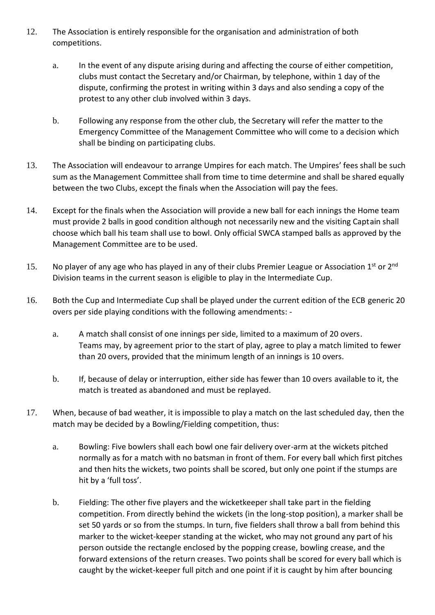- 12. The Association is entirely responsible for the organisation and administration of both competitions.
	- a. In the event of any dispute arising during and affecting the course of either competition, clubs must contact the Secretary and/or Chairman, by telephone, within 1 day of the dispute, confirming the protest in writing within 3 days and also sending a copy of the protest to any other club involved within 3 days.
	- b. Following any response from the other club, the Secretary will refer the matter to the Emergency Committee of the Management Committee who will come to a decision which shall be binding on participating clubs.
- 13. The Association will endeavour to arrange Umpires for each match. The Umpires' fees shall be such sum as the Management Committee shall from time to time determine and shall be shared equally between the two Clubs, except the finals when the Association will pay the fees.
- 14. Except for the finals when the Association will provide a new ball for each innings the Home team must provide 2 balls in good condition although not necessarily new and the visiting Captain shall choose which ball his team shall use to bowl. Only official SWCA stamped balls as approved by the Management Committee are to be used.
- 15. No player of any age who has played in any of their clubs Premier League or Association 1<sup>st</sup> or 2<sup>nd</sup> Division teams in the current season is eligible to play in the Intermediate Cup.
- 16. Both the Cup and Intermediate Cup shall be played under the current edition of the ECB generic 20 overs per side playing conditions with the following amendments:
	- a. A match shall consist of one innings per side, limited to a maximum of 20 overs. Teams may, by agreement prior to the start of play, agree to play a match limited to fewer than 20 overs, provided that the minimum length of an innings is 10 overs.
	- b. If, because of delay or interruption, either side has fewer than 10 overs available to it, the match is treated as abandoned and must be replayed.
- 17. When, because of bad weather, it is impossible to play a match on the last scheduled day, then the match may be decided by a Bowling/Fielding competition, thus:
	- a. Bowling: Five bowlers shall each bowl one fair delivery over-arm at the wickets pitched normally as for a match with no batsman in front of them. For every ball which first pitches and then hits the wickets, two points shall be scored, but only one point if the stumps are hit by a 'full toss'.
	- b. Fielding: The other five players and the wicketkeeper shall take part in the fielding competition. From directly behind the wickets (in the long-stop position), a marker shall be set 50 yards or so from the stumps. In turn, five fielders shall throw a ball from behind this marker to the wicket-keeper standing at the wicket, who may not ground any part of his person outside the rectangle enclosed by the popping crease, bowling crease, and the forward extensions of the return creases. Two points shall be scored for every ball which is caught by the wicket-keeper full pitch and one point if it is caught by him after bouncing